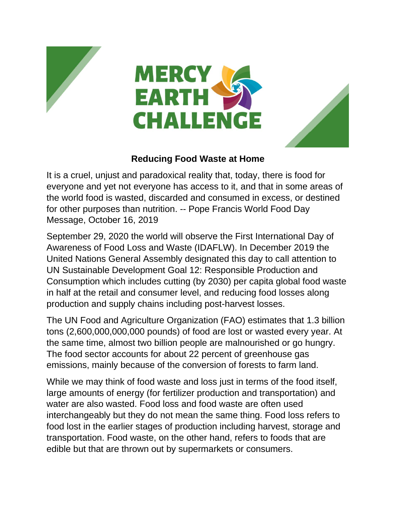





## **Reducing Food Waste at Home**

It is a cruel, unjust and paradoxical reality that, today, there is food for everyone and yet not everyone has access to it, and that in some areas of the world food is wasted, discarded and consumed in excess, or destined for other purposes than nutrition. -- Pope Francis World Food Day Message, October 16, 2019

September 29, 2020 the world will observe the First International Day of Awareness of Food Loss and Waste (IDAFLW). In December 2019 the United Nations General Assembly designated this day to call attention to UN Sustainable Development Goal 12: Responsible Production and Consumption which includes cutting (by 2030) per capita global food waste in half at the retail and consumer level, and reducing food losses along production and supply chains including post-harvest losses.

The UN Food and Agriculture Organization (FAO) estimates that 1.3 billion tons (2,600,000,000,000 pounds) of food are lost or wasted every year. At the same time, almost two billion people are malnourished or go hungry. The food sector accounts for about 22 percent of greenhouse gas emissions, mainly because of the conversion of forests to farm land.

While we may think of food waste and loss just in terms of the food itself, large amounts of energy (for fertilizer production and transportation) and water are also wasted. Food loss and food waste are often used interchangeably but they do not mean the same thing. Food loss refers to food lost in the earlier stages of production including harvest, storage and transportation. Food waste, on the other hand, refers to foods that are edible but that are thrown out by supermarkets or consumers.